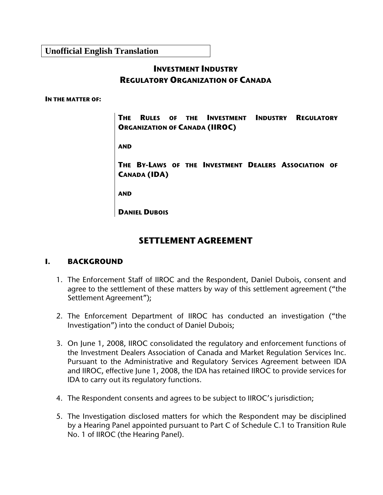**Unofficial English Translation**

# **INVESTMENT INDUSTRY REGULATORY ORGANIZATION OF CANADA**

**IN THE MATTER OF:**

**THE RULES OF THE INVESTMENT INDUSTRY REGULATORY ORGANIZATION OF CANADA (IIROC) AND THE BY-LAWS OF THE INVESTMENT DEALERS ASSOCIATION OF CANADA (IDA) AND DANIEL DUBOIS**

# **SETTLEMENT AGREEMENT**

## **I. BACKGROUND**

- 1. The Enforcement Staff of IIROC and the Respondent, Daniel Dubois, consent and agree to the settlement of these matters by way of this settlement agreement ("the Settlement Agreement");
- 2. The Enforcement Department of IIROC has conducted an investigation ("the Investigation") into the conduct of Daniel Dubois;
- 3. On June 1, 2008, IIROC consolidated the regulatory and enforcement functions of the Investment Dealers Association of Canada and Market Regulation Services Inc. Pursuant to the Administrative and Regulatory Services Agreement between IDA and IIROC, effective June 1, 2008, the IDA has retained IIROC to provide services for IDA to carry out its regulatory functions.
- 4. The Respondent consents and agrees to be subject to IIROC's jurisdiction;
- 5. The Investigation disclosed matters for which the Respondent may be disciplined by a Hearing Panel appointed pursuant to Part C of Schedule C.1 to Transition Rule No. 1 of IIROC (the Hearing Panel).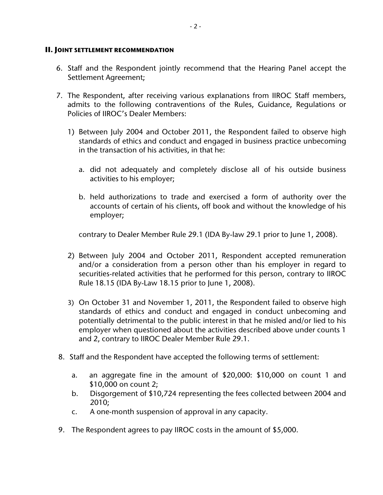#### **II. JOINT SETTLEMENT RECOMMENDATION**

- 6. Staff and the Respondent jointly recommend that the Hearing Panel accept the Settlement Agreement;
- 7. The Respondent, after receiving various explanations from IIROC Staff members, admits to the following contraventions of the Rules, Guidance, Regulations or Policies of IIROC's Dealer Members:
	- 1) Between July 2004 and October 2011, the Respondent failed to observe high standards of ethics and conduct and engaged in business practice unbecoming in the transaction of his activities, in that he:
		- a. did not adequately and completely disclose all of his outside business activities to his employer;
		- b. held authorizations to trade and exercised a form of authority over the accounts of certain of his clients, off book and without the knowledge of his employer;

contrary to Dealer Member Rule 29.1 (IDA By-law 29.1 prior to June 1, 2008).

- 2) Between July 2004 and October 2011, Respondent accepted remuneration and/or a consideration from a person other than his employer in regard to securities-related activities that he performed for this person, contrary to IIROC Rule 18.15 (IDA By-Law 18.15 prior to June 1, 2008).
- 3) On October 31 and November 1, 2011, the Respondent failed to observe high standards of ethics and conduct and engaged in conduct unbecoming and potentially detrimental to the public interest in that he misled and/or lied to his employer when questioned about the activities described above under counts 1 and 2, contrary to IIROC Dealer Member Rule 29.1.
- 8. Staff and the Respondent have accepted the following terms of settlement:
	- a. an aggregate fine in the amount of \$20,000: \$10,000 on count 1 and \$10,000 on count 2;
	- b. Disgorgement of \$10,724 representing the fees collected between 2004 and 2010;
	- c. A one-month suspension of approval in any capacity.
- 9. The Respondent agrees to pay IIROC costs in the amount of \$5,000.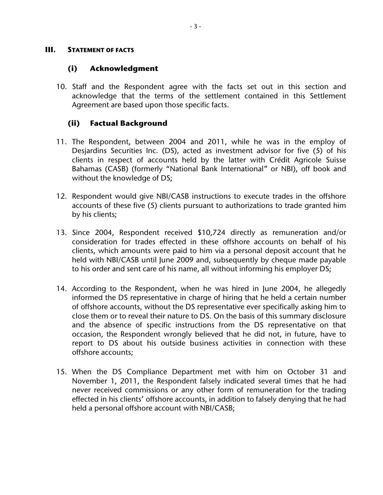#### **III. STATEMENT OF FACTS**

#### **(i) Acknowledgment**

10. Staff and the Respondent agree with the facts set out in this section and acknowledge that the terms of the settlement contained in this Settlement Agreement are based upon those specific facts.

#### **(ii) Factual Background**

- 11. The Respondent, between 2004 and 2011, while he was in the employ of Desjardins Securities Inc. (DS), acted as investment advisor for five (5) of his clients in respect of accounts held by the latter with Crédit Agricole Suisse Bahamas (CASB) (formerly "National Bank International" or NBI), off book and without the knowledge of DS;
- 12. Respondent would give NBI/CASB instructions to execute trades in the offshore accounts of these five (5) clients pursuant to authorizations to trade granted him by his clients;
- 13. Since 2004, Respondent received \$10,724 directly as remuneration and/or consideration for trades effected in these offshore accounts on behalf of his clients, which amounts were paid to him via a personal deposit account that he held with NBI/CASB until June 2009 and, subsequently by cheque made payable to his order and sent care of his name, all without informing his employer DS;
- 14. According to the Respondent, when he was hired in June 2004, he allegedly informed the DS representative in charge of hiring that he held a certain number of offshore accounts, without the DS representative ever specifically asking him to close them or to reveal their nature to DS. On the basis of this summary disclosure and the absence of specific instructions from the DS representative on that occasion, the Respondent wrongly believed that he did not, in future, have to report to DS about his outside business activities in connection with these offshore accounts;
- 15. When the DS Compliance Department met with him on October 31 and November 1, 2011, the Respondent falsely indicated several times that he had never received commissions or any other form of remuneration for the trading effected in his clients' offshore accounts, in addition to falsely denying that he had held a personal offshore account with NBI/CASB;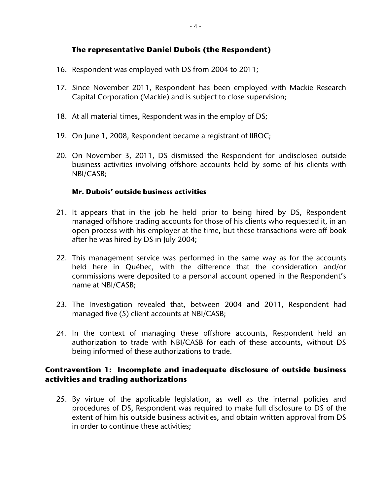## **The representative Daniel Dubois (the Respondent)**

- 16. Respondent was employed with DS from 2004 to 2011;
- 17. Since November 2011, Respondent has been employed with Mackie Research Capital Corporation (Mackie) and is subject to close supervision;
- 18. At all material times, Respondent was in the employ of DS;
- 19. On June 1, 2008, Respondent became a registrant of IIROC;
- 20. On November 3, 2011, DS dismissed the Respondent for undisclosed outside business activities involving offshore accounts held by some of his clients with NBI/CASB;

#### **Mr. Dubois' outside business activities**

- 21. It appears that in the job he held prior to being hired by DS, Respondent managed offshore trading accounts for those of his clients who requested it, in an open process with his employer at the time, but these transactions were off book after he was hired by DS in July 2004;
- 22. This management service was performed in the same way as for the accounts held here in Québec, with the difference that the consideration and/or commissions were deposited to a personal account opened in the Respondent's name at NBI/CASB;
- 23. The Investigation revealed that, between 2004 and 2011, Respondent had managed five (5) client accounts at NBI/CASB;
- 24. In the context of managing these offshore accounts, Respondent held an authorization to trade with NBI/CASB for each of these accounts, without DS being informed of these authorizations to trade.

## **Contravention 1: Incomplete and inadequate disclosure of outside business activities and trading authorizations**

25. By virtue of the applicable legislation, as well as the internal policies and procedures of DS, Respondent was required to make full disclosure to DS of the extent of him his outside business activities, and obtain written approval from DS in order to continue these activities;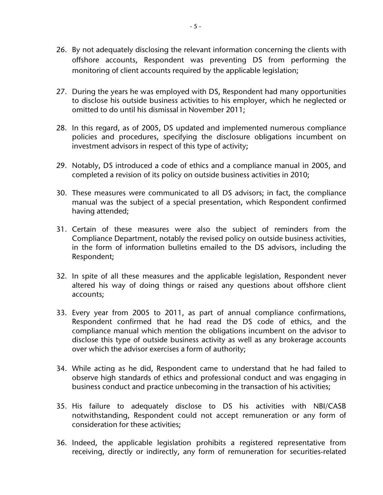- 26. By not adequately disclosing the relevant information concerning the clients with offshore accounts, Respondent was preventing DS from performing the monitoring of client accounts required by the applicable legislation;
- 27. During the years he was employed with DS, Respondent had many opportunities to disclose his outside business activities to his employer, which he neglected or omitted to do until his dismissal in November 2011;
- 28. In this regard, as of 2005, DS updated and implemented numerous compliance policies and procedures, specifying the disclosure obligations incumbent on investment advisors in respect of this type of activity;
- 29. Notably, DS introduced a code of ethics and a compliance manual in 2005, and completed a revision of its policy on outside business activities in 2010;
- 30. These measures were communicated to all DS advisors; in fact, the compliance manual was the subject of a special presentation, which Respondent confirmed having attended;
- 31. Certain of these measures were also the subject of reminders from the Compliance Department, notably the revised policy on outside business activities, in the form of information bulletins emailed to the DS advisors, including the Respondent;
- 32. In spite of all these measures and the applicable legislation, Respondent never altered his way of doing things or raised any questions about offshore client accounts;
- 33. Every year from 2005 to 2011, as part of annual compliance confirmations, Respondent confirmed that he had read the DS code of ethics, and the compliance manual which mention the obligations incumbent on the advisor to disclose this type of outside business activity as well as any brokerage accounts over which the advisor exercises a form of authority;
- 34. While acting as he did, Respondent came to understand that he had failed to observe high standards of ethics and professional conduct and was engaging in business conduct and practice unbecoming in the transaction of his activities;
- 35. His failure to adequately disclose to DS his activities with NBI/CASB notwithstanding, Respondent could not accept remuneration or any form of consideration for these activities;
- 36. Indeed, the applicable legislation prohibits a registered representative from receiving, directly or indirectly, any form of remuneration for securities-related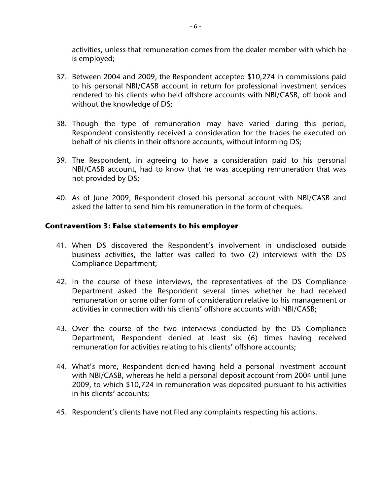activities, unless that remuneration comes from the dealer member with which he is employed;

- 37. Between 2004 and 2009, the Respondent accepted \$10,274 in commissions paid to his personal NBI/CASB account in return for professional investment services rendered to his clients who held offshore accounts with NBI/CASB, off book and without the knowledge of DS;
- 38. Though the type of remuneration may have varied during this period, Respondent consistently received a consideration for the trades he executed on behalf of his clients in their offshore accounts, without informing DS;
- 39. The Respondent, in agreeing to have a consideration paid to his personal NBI/CASB account, had to know that he was accepting remuneration that was not provided by DS;
- 40. As of June 2009, Respondent closed his personal account with NBI/CASB and asked the latter to send him his remuneration in the form of cheques.

## **Contravention 3: False statements to his employer**

- 41. When DS discovered the Respondent's involvement in undisclosed outside business activities, the latter was called to two (2) interviews with the DS Compliance Department;
- 42. In the course of these interviews, the representatives of the DS Compliance Department asked the Respondent several times whether he had received remuneration or some other form of consideration relative to his management or activities in connection with his clients' offshore accounts with NBI/CASB;
- 43. Over the course of the two interviews conducted by the DS Compliance Department, Respondent denied at least six (6) times having received remuneration for activities relating to his clients' offshore accounts;
- 44. What's more, Respondent denied having held a personal investment account with NBI/CASB, whereas he held a personal deposit account from 2004 until June 2009, to which \$10,724 in remuneration was deposited pursuant to his activities in his clients' accounts;
- 45. Respondent's clients have not filed any complaints respecting his actions.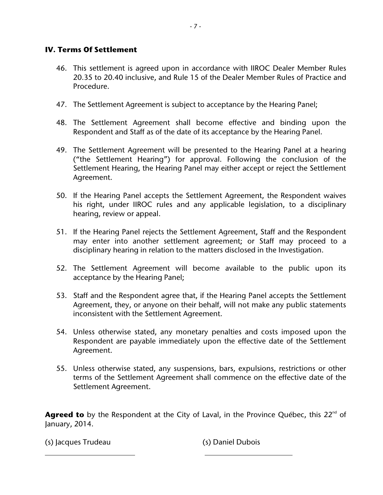#### **IV. Terms Of Settlement**

- 46. This settlement is agreed upon in accordance with IIROC Dealer Member Rules 20.35 to 20.40 inclusive, and Rule 15 of the Dealer Member Rules of Practice and Procedure.
- 47. The Settlement Agreement is subject to acceptance by the Hearing Panel;
- 48. The Settlement Agreement shall become effective and binding upon the Respondent and Staff as of the date of its acceptance by the Hearing Panel.
- 49. The Settlement Agreement will be presented to the Hearing Panel at a hearing ("the Settlement Hearing") for approval. Following the conclusion of the Settlement Hearing, the Hearing Panel may either accept or reject the Settlement Agreement.
- 50. If the Hearing Panel accepts the Settlement Agreement, the Respondent waives his right, under IIROC rules and any applicable legislation, to a disciplinary hearing, review or appeal.
- 51. If the Hearing Panel rejects the Settlement Agreement, Staff and the Respondent may enter into another settlement agreement; or Staff may proceed to a disciplinary hearing in relation to the matters disclosed in the Investigation.
- 52. The Settlement Agreement will become available to the public upon its acceptance by the Hearing Panel;
- 53. Staff and the Respondent agree that, if the Hearing Panel accepts the Settlement Agreement, they, or anyone on their behalf, will not make any public statements inconsistent with the Settlement Agreement.
- 54. Unless otherwise stated, any monetary penalties and costs imposed upon the Respondent are payable immediately upon the effective date of the Settlement Agreement.
- 55. Unless otherwise stated, any suspensions, bars, expulsions, restrictions or other terms of the Settlement Agreement shall commence on the effective date of the Settlement Agreement.

**Agreed to** by the Respondent at the City of Laval, in the Province Québec, this 22<sup>nd</sup> of January, 2014.

(s) Jacques Trudeau (s) Daniel Dubois